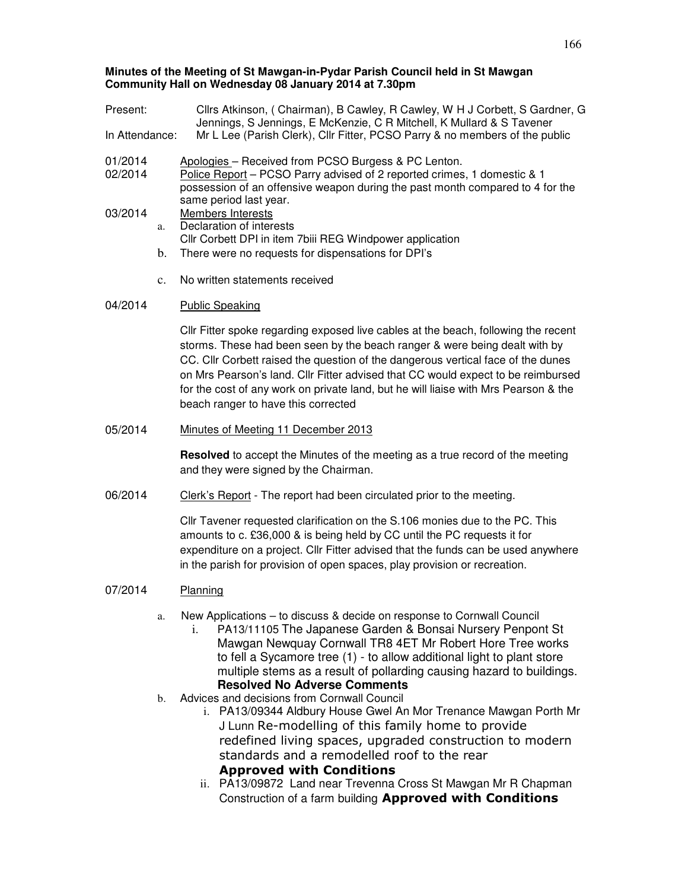### **Minutes of the Meeting of St Mawgan-in-Pydar Parish Council held in St Mawgan Community Hall on Wednesday 08 January 2014 at 7.30pm**

| Present:           |                | Cllrs Atkinson, (Chairman), B Cawley, R Cawley, W H J Corbett, S Gardner, G<br>Jennings, S Jennings, E McKenzie, C R Mitchell, K Mullard & S Tavener                                                                                                                                                                                                                                                                                                                   |  |  |
|--------------------|----------------|------------------------------------------------------------------------------------------------------------------------------------------------------------------------------------------------------------------------------------------------------------------------------------------------------------------------------------------------------------------------------------------------------------------------------------------------------------------------|--|--|
| In Attendance:     |                | Mr L Lee (Parish Clerk), Cllr Fitter, PCSO Parry & no members of the public                                                                                                                                                                                                                                                                                                                                                                                            |  |  |
| 01/2014<br>02/2014 |                | Apologies - Received from PCSO Burgess & PC Lenton.<br>Police Report - PCSO Parry advised of 2 reported crimes, 1 domestic & 1<br>possession of an offensive weapon during the past month compared to 4 for the<br>same period last year.                                                                                                                                                                                                                              |  |  |
| 03/2014            | a.             | Members Interests<br>Declaration of interests                                                                                                                                                                                                                                                                                                                                                                                                                          |  |  |
|                    | b.             | Cllr Corbett DPI in item 7biii REG Windpower application<br>There were no requests for dispensations for DPI's                                                                                                                                                                                                                                                                                                                                                         |  |  |
|                    | $\mathbf{c}$ . | No written statements received                                                                                                                                                                                                                                                                                                                                                                                                                                         |  |  |
| 04/2014            |                | <b>Public Speaking</b>                                                                                                                                                                                                                                                                                                                                                                                                                                                 |  |  |
|                    |                | CIIr Fitter spoke regarding exposed live cables at the beach, following the recent<br>storms. These had been seen by the beach ranger & were being dealt with by<br>CC. Cllr Corbett raised the question of the dangerous vertical face of the dunes<br>on Mrs Pearson's land. Cllr Fitter advised that CC would expect to be reimbursed<br>for the cost of any work on private land, but he will liaise with Mrs Pearson & the<br>beach ranger to have this corrected |  |  |
| 05/2014            |                | Minutes of Meeting 11 December 2013                                                                                                                                                                                                                                                                                                                                                                                                                                    |  |  |
|                    |                | Resolved to accept the Minutes of the meeting as a true record of the meeting<br>and they were signed by the Chairman.                                                                                                                                                                                                                                                                                                                                                 |  |  |
| 06/2014            |                | Clerk's Report - The report had been circulated prior to the meeting.                                                                                                                                                                                                                                                                                                                                                                                                  |  |  |
|                    |                | CIIr Tavener requested clarification on the S.106 monies due to the PC. This<br>amounts to c. £36,000 & is being held by CC until the PC requests it for<br>expenditure on a project. Cllr Fitter advised that the funds can be used anywhere<br>in the parish for provision of open spaces, play provision or recreation.                                                                                                                                             |  |  |
| 07/2014            |                | Planning                                                                                                                                                                                                                                                                                                                                                                                                                                                               |  |  |
|                    | a.             | New Applications - to discuss & decide on response to Cornwall Council<br>PA13/11105 The Japanese Garden & Bonsai Nursery Penpont St<br>i.<br>Mawgan Newquay Cornwall TR8 4ET Mr Robert Hore Tree works<br>to fell a Sycamore tree (1) - to allow additional light to plant store<br>multiple stems as a result of pollarding causing hazard to buildings.<br><b>Resolved No Adverse Comments</b>                                                                      |  |  |
|                    | b.             | Advices and decisions from Cornwall Council<br>i. PA13/09344 Aldbury House Gwel An Mor Trenance Mawgan Porth Mr                                                                                                                                                                                                                                                                                                                                                        |  |  |

J Lunn Re-modelling of this family home to provide redefined living spaces, upgraded construction to modern standards and a remodelled roof to the rear Approved with Conditions

ii. PA13/09872 Land near Trevenna Cross St Mawgan Mr R Chapman Construction of a farm building Approved with Conditions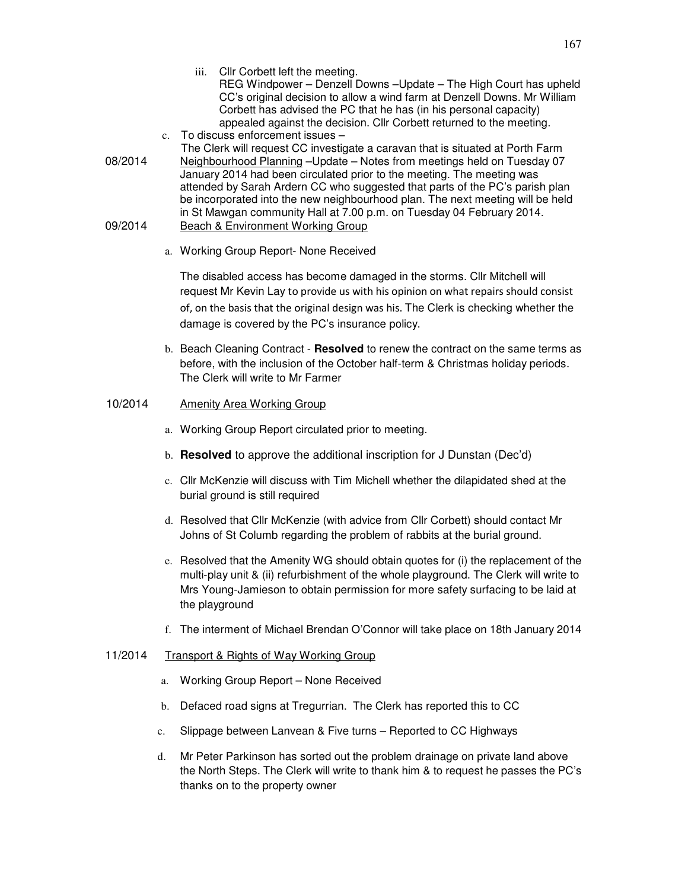- iii. Cllr Corbett left the meeting. REG Windpower – Denzell Downs –Update – The High Court has upheld CC's original decision to allow a wind farm at Denzell Downs. Mr William Corbett has advised the PC that he has (in his personal capacity) appealed against the decision. Cllr Corbett returned to the meeting.
- c. To discuss enforcement issues The Clerk will request CC investigate a caravan that is situated at Porth Farm
- 08/2014 Neighbourhood Planning –Update Notes from meetings held on Tuesday 07 January 2014 had been circulated prior to the meeting. The meeting was attended by Sarah Ardern CC who suggested that parts of the PC's parish plan be incorporated into the new neighbourhood plan. The next meeting will be held in St Mawgan community Hall at 7.00 p.m. on Tuesday 04 February 2014. 09/2014 Beach & Environment Working Group
	- a. Working Group Report- None Received

The disabled access has become damaged in the storms. Cllr Mitchell will request Mr Kevin Lay to provide us with his opinion on what repairs should consist of, on the basis that the original design was his. The Clerk is checking whether the damage is covered by the PC's insurance policy.

b. Beach Cleaning Contract - **Resolved** to renew the contract on the same terms as before, with the inclusion of the October half-term & Christmas holiday periods. The Clerk will write to Mr Farmer

# 10/2014 Amenity Area Working Group

- a. Working Group Report circulated prior to meeting.
- b. **Resolved** to approve the additional inscription for J Dunstan (Dec'd)
- c. Cllr McKenzie will discuss with Tim Michell whether the dilapidated shed at the burial ground is still required
- d. Resolved that Cllr McKenzie (with advice from Cllr Corbett) should contact Mr Johns of St Columb regarding the problem of rabbits at the burial ground.
- e. Resolved that the Amenity WG should obtain quotes for (i) the replacement of the multi-play unit & (ii) refurbishment of the whole playground. The Clerk will write to Mrs Young-Jamieson to obtain permission for more safety surfacing to be laid at the playground
- f. The interment of Michael Brendan O'Connor will take place on 18th January 2014

### 11/2014 Transport & Rights of Way Working Group

- a. Working Group Report None Received
- b. Defaced road signs at Tregurrian. The Clerk has reported this to CC
- c. Slippage between Lanvean & Five turns Reported to CC Highways
- d. Mr Peter Parkinson has sorted out the problem drainage on private land above the North Steps. The Clerk will write to thank him & to request he passes the PC's thanks on to the property owner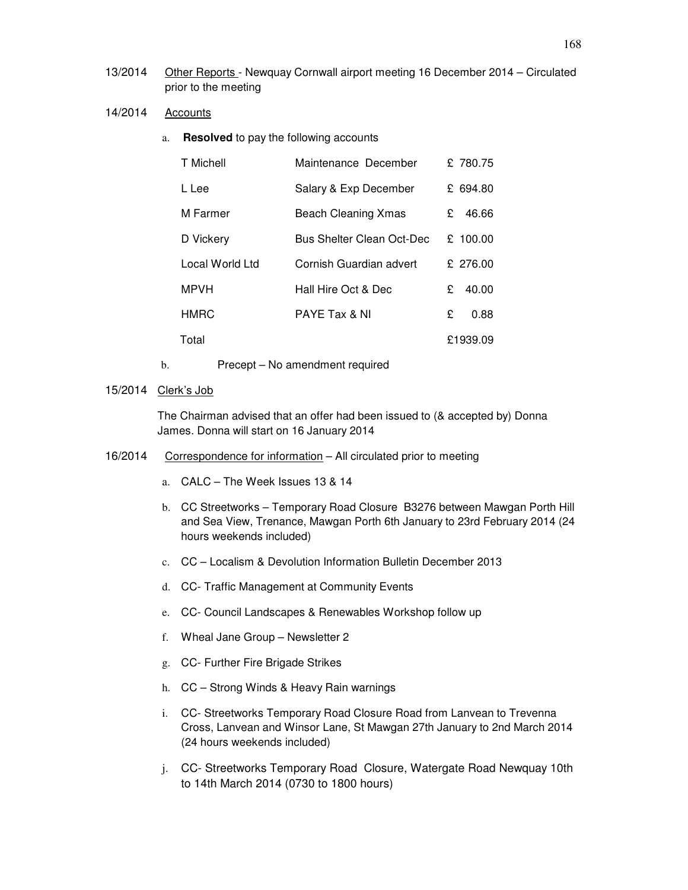- 13/2014 Other Reports Newquay Cornwall airport meeting 16 December 2014 Circulated prior to the meeting
- 14/2014 Accounts
	- a. **Resolved** to pay the following accounts

| T Michell       | Maintenance December       |   | £780.75  |
|-----------------|----------------------------|---|----------|
| L Lee           | Salary & Exp December      |   | £ 694.80 |
| M Farmer        | <b>Beach Cleaning Xmas</b> | £ | 46.66    |
| D Vickery       | Bus Shelter Clean Oct-Dec  |   | £ 100.00 |
| Local World Ltd | Cornish Guardian advert    |   | £ 276.00 |
| <b>MPVH</b>     | Hall Hire Oct & Dec        | £ | 40.00    |
| <b>HMRC</b>     | PAYE Tax & NI              | £ | 0.88     |
| Total           |                            |   | £1939.09 |

b. Precept – No amendment required

# 15/2014 Clerk's Job

The Chairman advised that an offer had been issued to (& accepted by) Donna James. Donna will start on 16 January 2014

- 16/2014 Correspondence for information All circulated prior to meeting
	- a. CALC The Week Issues 13 & 14
	- b. CC Streetworks Temporary Road Closure B3276 between Mawgan Porth Hill and Sea View, Trenance, Mawgan Porth 6th January to 23rd February 2014 (24 hours weekends included)
	- c. CC Localism & Devolution Information Bulletin December 2013
	- d. CC- Traffic Management at Community Events
	- e. CC- Council Landscapes & Renewables Workshop follow up
	- f. Wheal Jane Group Newsletter 2
	- g. CC- Further Fire Brigade Strikes
	- h. CC Strong Winds & Heavy Rain warnings
	- i. CC- Streetworks Temporary Road Closure Road from Lanvean to Trevenna Cross, Lanvean and Winsor Lane, St Mawgan 27th January to 2nd March 2014 (24 hours weekends included)
	- j. CC- Streetworks Temporary Road Closure, Watergate Road Newquay 10th to 14th March 2014 (0730 to 1800 hours)